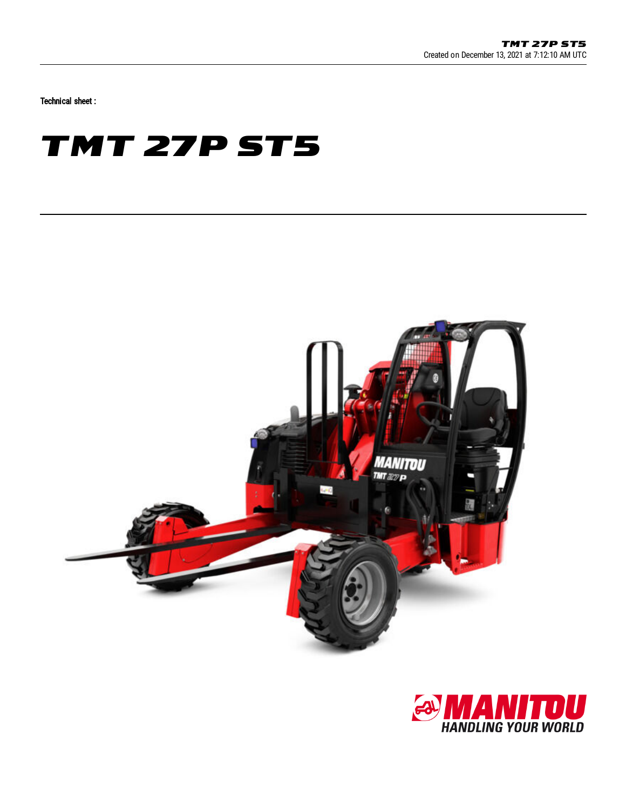Technical sheet :

## **TMT 27P ST5**



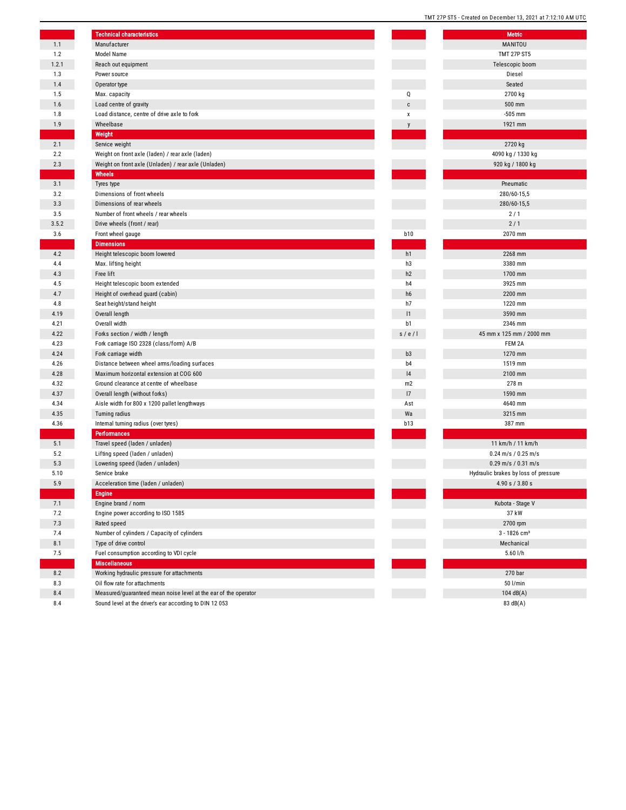|       | <b>Technical characteristics</b>                                |                | <b>Metric</b>                        |
|-------|-----------------------------------------------------------------|----------------|--------------------------------------|
| 1.1   | Manufacturer                                                    |                | MANITOU                              |
| 1.2   | Model Name                                                      |                | <b>TMT 27P ST5</b>                   |
| 1.2.1 | Reach out equipment                                             |                | Telescopic boom                      |
| 1.3   | Power source                                                    |                | Diesel                               |
| 1.4   | Operator type                                                   |                | Seated                               |
| 1.5   | Max. capacity                                                   | Q              | 2700 kg                              |
| 1.6   | Load centre of gravity                                          | C              | 500 mm                               |
| 1.8   | Load distance, centre of drive axle to fork                     | X              | $-505$ mm                            |
| 1.9   | Wheelbase                                                       | y              | 1921 mm                              |
|       | Weight                                                          |                |                                      |
| 2.1   | Service weight                                                  |                | 2720 kg                              |
| 2.2   | Weight on front axle (laden) / rear axle (laden)                |                | 4090 kg / 1330 kg                    |
| 2.3   | Weight on front axle (Unladen) / rear axle (Unladen)            |                | 920 kg / 1800 kg                     |
|       | Wheels                                                          |                |                                      |
| 3.1   | Tyres type                                                      |                | Pneumatic                            |
| 3.2   | Dimensions of front wheels                                      |                | 280/60-15,5                          |
| 3.3   | Dimensions of rear wheels                                       |                | 280/60-15,5                          |
| 3.5   | Number of front wheels / rear wheels                            |                | 2/1                                  |
| 3.5.2 | Drive wheels (front / rear)                                     |                | 2/1                                  |
| 3.6   | Front wheel gauge                                               | <b>b10</b>     | 2070 mm                              |
|       | <b>Dimensions</b>                                               |                |                                      |
| 4.2   | Height telescopic boom lowered                                  | h1             | 2268 mm                              |
| 4.4   | Max. lifting height                                             | h3             | 3380 mm                              |
| 4.3   | Free lift                                                       | h2             | 1700 mm                              |
| 4.5   | Height telescopic boom extended                                 | h4             | 3925 mm                              |
| 4.7   | Height of overhead guard (cabin)                                | h6             | 2200 mm                              |
| 4.8   | Seat height/stand height                                        | h7             | 1220 mm                              |
| 4.19  | Overall length                                                  | 1              | 3590 mm                              |
| 4.21  | Overall width                                                   | b1             | 2346 mm                              |
| 4.22  | Forks section / width / length                                  | s/e/l          | 45 mm x 125 mm / 2000 mm             |
| 4.23  | Fork carriage ISO 2328 (class/form) A/B                         |                | FEM 2A                               |
| 4.24  | Fork carriage width                                             | b3             | 1270 mm                              |
| 4.26  | Distance between wheel arms/loading surfaces                    | b <sub>4</sub> | 1519 mm                              |
| 4.28  | Maximum horizontal extension at COG 600                         | 4              | 2100 mm                              |
| 4.32  | Ground clearance at centre of wheelbase                         | m2             | 278 m                                |
| 4.37  | Overall length (without forks)                                  | 17             | 1590 mm                              |
| 4.34  | Aisle width for 800 x 1200 pallet lengthways                    | Ast            | 4640 mm                              |
| 4.35  | Turning radius                                                  | Wa             | 3215 mm                              |
| 4.36  | Internal turning radius (over tyres)                            | <b>b13</b>     | 387 mm                               |
|       | <b>Performances</b>                                             |                |                                      |
| 5.1   | Travel speed (laden / unladen)                                  |                | 11 km/h / 11 km/h                    |
| 5.2   | Lifting speed (laden / unladen)                                 |                | $0.24$ m/s / $0.25$ m/s              |
| 5.3   | Lowering speed (laden / unladen)                                |                | $0.29$ m/s / $0.31$ m/s              |
| 5.10  | Service brake                                                   |                | Hydraulic brakes by loss of pressure |
| 5.9   | Acceleration time (laden / unladen)                             |                | 4.90 s / 3.80 s                      |
|       | <b>Engine</b>                                                   |                |                                      |
| 7.1   | Engine brand / norm                                             |                | Kubota - Stage V                     |
| 7.2   | Engine power according to ISO 1585                              |                | 37 kW                                |
| 7.3   | Rated speed                                                     |                | 2700 rpm                             |
| 7.4   | Number of cylinders / Capacity of cylinders                     |                | $3 - 1826$ cm <sup>3</sup>           |
| 8.1   | Type of drive control                                           |                | Mechanical                           |
| 7.5   | Fuel consumption according to VDI cycle                         |                | $5.60$ I/h                           |
|       | <b>Miscellaneous</b>                                            |                |                                      |
| 8.2   | Working hydraulic pressure for attachments                      |                | 270 <sub>bar</sub>                   |
| 8.3   | Oil flow rate for attachments                                   |                | 50 l/min                             |
| 8.4   | Measured/guaranteed mean noise level at the ear of the operator |                | 104 $dB(A)$                          |
| 8.4   | Sound level at the driver's ear according to DIN 12 053         |                | 83 dB(A)                             |

|                | <b>Metric</b>                        |
|----------------|--------------------------------------|
|                | MANITOU                              |
|                | <b>TMT 27P ST5</b>                   |
|                | Telescopic boom                      |
|                | Diesel                               |
|                | Seated                               |
|                | 2700 kg                              |
| Q              |                                      |
| C              | 500 mm                               |
| X              | $-505$ mm                            |
| y              | 1921 mm                              |
|                |                                      |
|                | 2720 kg                              |
|                | 4090 kg / 1330 kg                    |
|                | 920 kg / 1800 kg                     |
|                |                                      |
|                | Pneumatic                            |
|                | 280/60-15,5                          |
|                | 280/60-15,5                          |
|                | 2/1                                  |
|                | 2/1                                  |
| <b>b10</b>     | 2070 mm                              |
|                |                                      |
| h1             | 2268 mm                              |
| h3             | 3380 mm                              |
| h2             | 1700 mm                              |
| h4             | 3925 mm                              |
| h6             | 2200 mm                              |
| h7             | 1220 mm                              |
| 1              | 3590 mm                              |
| b1             | 2346 mm                              |
| s / e / I      | 45 mm x 125 mm / 2000 mm             |
|                | FEM 2A                               |
| b3             | 1270 mm                              |
| b4             | 1519 mm                              |
| 4              | 2100 mm                              |
| m <sub>2</sub> | 278 m                                |
| 17             | 1590 mm                              |
| Ast            | 4640 mm                              |
| Wa             | 3215 mm                              |
| <b>b</b> 13    | 387 mm                               |
|                |                                      |
|                | 11 km/h / 11 km/h                    |
|                | $0.24$ m/s / $0.25$ m/s              |
|                | $0.29$ m/s / $0.31$ m/s              |
|                | Hydraulic brakes by loss of pressure |
|                | 4.90 s / 3.80 s                      |
|                |                                      |
|                | Kubota - Stage V                     |
|                | 37 kW                                |
|                | 2700 rpm                             |
|                | $3 - 1826$ cm <sup>3</sup>           |
|                | Mechanical                           |
|                | 5.60 l/h                             |
|                |                                      |
|                | 270 bar                              |
|                | 50 l/min                             |
|                | 104 dB(A)                            |
|                | 83 dB(A)                             |

TMT 27P ST5 - Created on December 13, 2021 at 7:12:10 AM UTC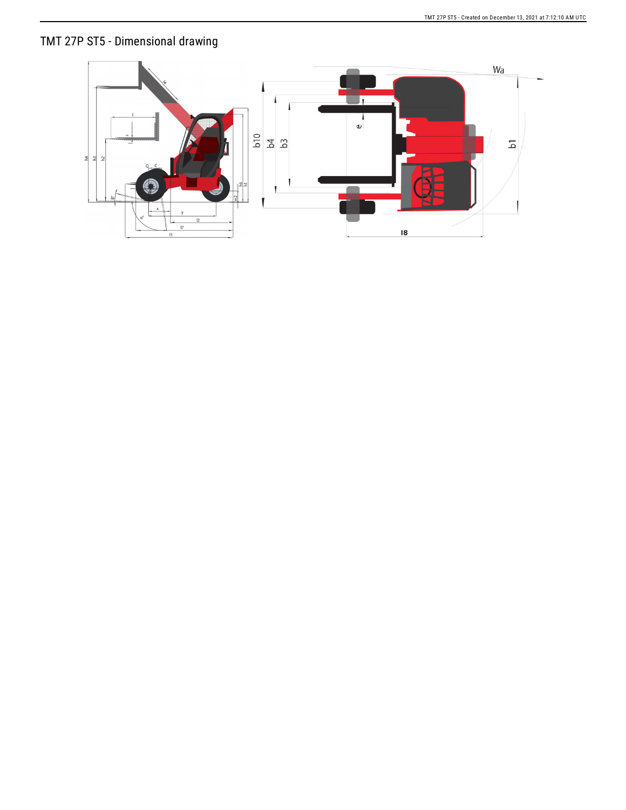## TMT 27P ST5 - Dimensional drawing